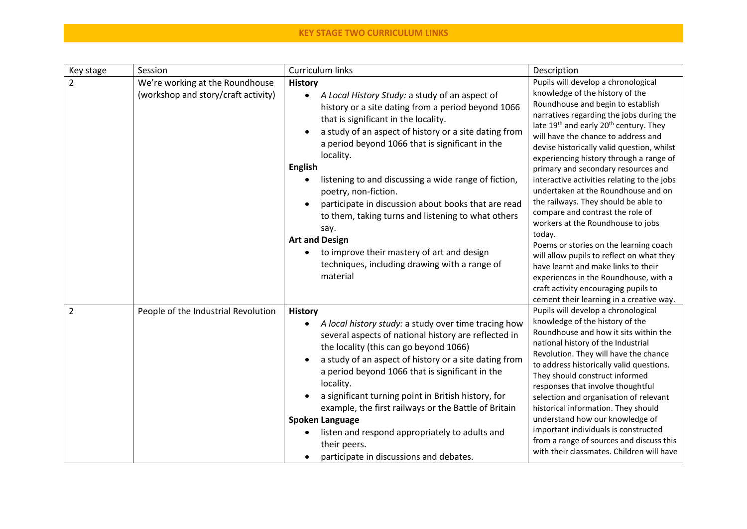| Key stage      | Session                                                                | Curriculum links                                                                                                                                                                                                                                                                                                                                                                                                                                                                                                                                                                                                                                                | Description                                                                                                                                                                                                                                                                                                                                                                                                                                                                                                                                                                                                                                                                                                                                                                                                                                                                  |
|----------------|------------------------------------------------------------------------|-----------------------------------------------------------------------------------------------------------------------------------------------------------------------------------------------------------------------------------------------------------------------------------------------------------------------------------------------------------------------------------------------------------------------------------------------------------------------------------------------------------------------------------------------------------------------------------------------------------------------------------------------------------------|------------------------------------------------------------------------------------------------------------------------------------------------------------------------------------------------------------------------------------------------------------------------------------------------------------------------------------------------------------------------------------------------------------------------------------------------------------------------------------------------------------------------------------------------------------------------------------------------------------------------------------------------------------------------------------------------------------------------------------------------------------------------------------------------------------------------------------------------------------------------------|
| $\overline{2}$ | We're working at the Roundhouse<br>(workshop and story/craft activity) | <b>History</b><br>A Local History Study: a study of an aspect of<br>$\bullet$<br>history or a site dating from a period beyond 1066<br>that is significant in the locality.<br>a study of an aspect of history or a site dating from<br>a period beyond 1066 that is significant in the<br>locality.<br><b>English</b><br>listening to and discussing a wide range of fiction,<br>poetry, non-fiction.<br>participate in discussion about books that are read<br>to them, taking turns and listening to what others<br>say.<br><b>Art and Design</b><br>to improve their mastery of art and design<br>techniques, including drawing with a range of<br>material | Pupils will develop a chronological<br>knowledge of the history of the<br>Roundhouse and begin to establish<br>narratives regarding the jobs during the<br>late 19 <sup>th</sup> and early 20 <sup>th</sup> century. They<br>will have the chance to address and<br>devise historically valid question, whilst<br>experiencing history through a range of<br>primary and secondary resources and<br>interactive activities relating to the jobs<br>undertaken at the Roundhouse and on<br>the railways. They should be able to<br>compare and contrast the role of<br>workers at the Roundhouse to jobs<br>today.<br>Poems or stories on the learning coach<br>will allow pupils to reflect on what they<br>have learnt and make links to their<br>experiences in the Roundhouse, with a<br>craft activity encouraging pupils to<br>cement their learning in a creative way. |
| 2              | People of the Industrial Revolution                                    | <b>History</b><br>A local history study: a study over time tracing how<br>$\bullet$<br>several aspects of national history are reflected in<br>the locality (this can go beyond 1066)<br>a study of an aspect of history or a site dating from<br>a period beyond 1066 that is significant in the<br>locality.<br>a significant turning point in British history, for<br>example, the first railways or the Battle of Britain<br><b>Spoken Language</b><br>listen and respond appropriately to adults and<br>their peers.<br>participate in discussions and debates.                                                                                            | Pupils will develop a chronological<br>knowledge of the history of the<br>Roundhouse and how it sits within the<br>national history of the Industrial<br>Revolution. They will have the chance<br>to address historically valid questions.<br>They should construct informed<br>responses that involve thoughtful<br>selection and organisation of relevant<br>historical information. They should<br>understand how our knowledge of<br>important individuals is constructed<br>from a range of sources and discuss this<br>with their classmates. Children will have                                                                                                                                                                                                                                                                                                       |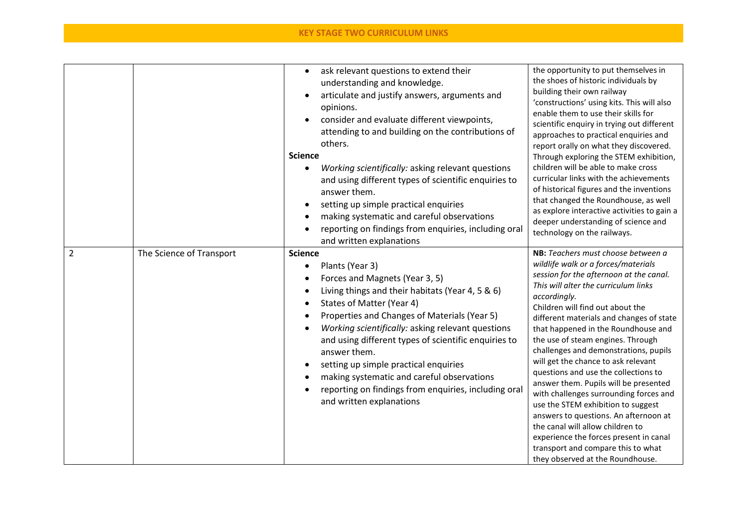|                |                          | ask relevant questions to extend their<br>$\bullet$<br>understanding and knowledge.<br>articulate and justify answers, arguments and<br>opinions.<br>consider and evaluate different viewpoints,<br>attending to and building on the contributions of<br>others.<br><b>Science</b><br>Working scientifically: asking relevant questions<br>$\bullet$<br>and using different types of scientific enquiries to<br>answer them.<br>setting up simple practical enquiries<br>making systematic and careful observations<br>reporting on findings from enquiries, including oral<br>and written explanations | the opportunity to put themselves in<br>the shoes of historic individuals by<br>building their own railway<br>'constructions' using kits. This will also<br>enable them to use their skills for<br>scientific enquiry in trying out different<br>approaches to practical enquiries and<br>report orally on what they discovered.<br>Through exploring the STEM exhibition,<br>children will be able to make cross<br>curricular links with the achievements<br>of historical figures and the inventions<br>that changed the Roundhouse, as well<br>as explore interactive activities to gain a<br>deeper understanding of science and<br>technology on the railways.                                                                                                                       |
|----------------|--------------------------|---------------------------------------------------------------------------------------------------------------------------------------------------------------------------------------------------------------------------------------------------------------------------------------------------------------------------------------------------------------------------------------------------------------------------------------------------------------------------------------------------------------------------------------------------------------------------------------------------------|--------------------------------------------------------------------------------------------------------------------------------------------------------------------------------------------------------------------------------------------------------------------------------------------------------------------------------------------------------------------------------------------------------------------------------------------------------------------------------------------------------------------------------------------------------------------------------------------------------------------------------------------------------------------------------------------------------------------------------------------------------------------------------------------|
| $\overline{2}$ | The Science of Transport | <b>Science</b><br>Plants (Year 3)<br>$\bullet$<br>Forces and Magnets (Year 3, 5)<br>Living things and their habitats (Year 4, 5 & 6)<br>$\bullet$<br>States of Matter (Year 4)<br>$\bullet$<br>Properties and Changes of Materials (Year 5)<br>Working scientifically: asking relevant questions<br>and using different types of scientific enquiries to<br>answer them.<br>setting up simple practical enquiries<br>making systematic and careful observations<br>reporting on findings from enquiries, including oral<br>and written explanations                                                     | NB: Teachers must choose between a<br>wildlife walk or a forces/materials<br>session for the afternoon at the canal.<br>This will alter the curriculum links<br>accordingly.<br>Children will find out about the<br>different materials and changes of state<br>that happened in the Roundhouse and<br>the use of steam engines. Through<br>challenges and demonstrations, pupils<br>will get the chance to ask relevant<br>questions and use the collections to<br>answer them. Pupils will be presented<br>with challenges surrounding forces and<br>use the STEM exhibition to suggest<br>answers to questions. An afternoon at<br>the canal will allow children to<br>experience the forces present in canal<br>transport and compare this to what<br>they observed at the Roundhouse. |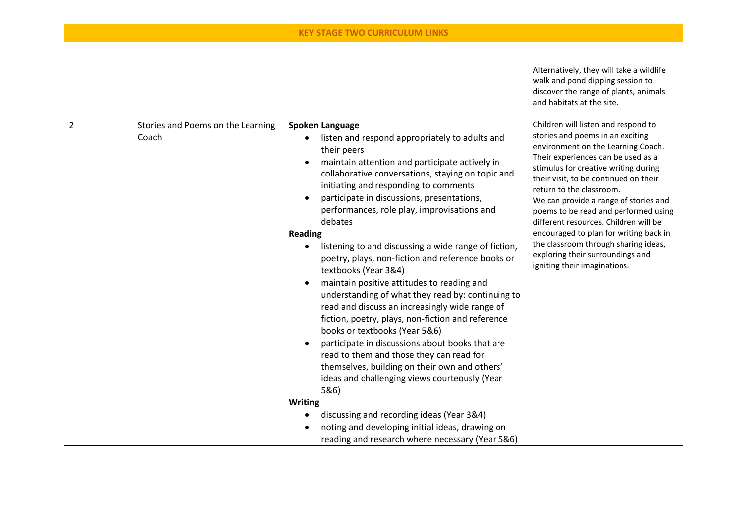|                |                                            |                                                                                                                                                                                                                                                                                                                                                                                                                                                                                                                                                                                                                                                                                                                                                                                                                                                                                                                                                                                                                                                                                                                           | Alternatively, they will take a wildlife<br>walk and pond dipping session to<br>discover the range of plants, animals<br>and habitats at the site.                                                                                                                                                                                                                                                                                                                                                                                               |
|----------------|--------------------------------------------|---------------------------------------------------------------------------------------------------------------------------------------------------------------------------------------------------------------------------------------------------------------------------------------------------------------------------------------------------------------------------------------------------------------------------------------------------------------------------------------------------------------------------------------------------------------------------------------------------------------------------------------------------------------------------------------------------------------------------------------------------------------------------------------------------------------------------------------------------------------------------------------------------------------------------------------------------------------------------------------------------------------------------------------------------------------------------------------------------------------------------|--------------------------------------------------------------------------------------------------------------------------------------------------------------------------------------------------------------------------------------------------------------------------------------------------------------------------------------------------------------------------------------------------------------------------------------------------------------------------------------------------------------------------------------------------|
| $\overline{2}$ | Stories and Poems on the Learning<br>Coach | <b>Spoken Language</b><br>listen and respond appropriately to adults and<br>$\bullet$<br>their peers<br>maintain attention and participate actively in<br>collaborative conversations, staying on topic and<br>initiating and responding to comments<br>participate in discussions, presentations,<br>$\bullet$<br>performances, role play, improvisations and<br>debates<br><b>Reading</b><br>listening to and discussing a wide range of fiction,<br>$\bullet$<br>poetry, plays, non-fiction and reference books or<br>textbooks (Year 3&4)<br>maintain positive attitudes to reading and<br>understanding of what they read by: continuing to<br>read and discuss an increasingly wide range of<br>fiction, poetry, plays, non-fiction and reference<br>books or textbooks (Year 5&6)<br>participate in discussions about books that are<br>$\bullet$<br>read to them and those they can read for<br>themselves, building on their own and others'<br>ideas and challenging views courteously (Year<br>5&6)<br>Writing<br>discussing and recording ideas (Year 3&4)<br>noting and developing initial ideas, drawing on | Children will listen and respond to<br>stories and poems in an exciting<br>environment on the Learning Coach.<br>Their experiences can be used as a<br>stimulus for creative writing during<br>their visit, to be continued on their<br>return to the classroom.<br>We can provide a range of stories and<br>poems to be read and performed using<br>different resources. Children will be<br>encouraged to plan for writing back in<br>the classroom through sharing ideas,<br>exploring their surroundings and<br>igniting their imaginations. |
|                |                                            | reading and research where necessary (Year 5&6)                                                                                                                                                                                                                                                                                                                                                                                                                                                                                                                                                                                                                                                                                                                                                                                                                                                                                                                                                                                                                                                                           |                                                                                                                                                                                                                                                                                                                                                                                                                                                                                                                                                  |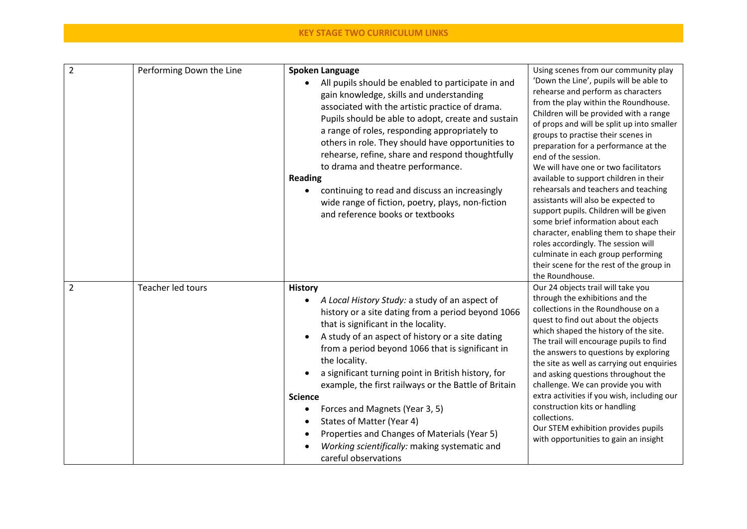| $\overline{2}$ | Performing Down the Line | Spoken Language<br>All pupils should be enabled to participate in and<br>gain knowledge, skills and understanding<br>associated with the artistic practice of drama.<br>Pupils should be able to adopt, create and sustain<br>a range of roles, responding appropriately to<br>others in role. They should have opportunities to<br>rehearse, refine, share and respond thoughtfully<br>to drama and theatre performance.<br><b>Reading</b><br>continuing to read and discuss an increasingly<br>wide range of fiction, poetry, plays, non-fiction<br>and reference books or textbooks                                             | Using scenes from our community play<br>'Down the Line', pupils will be able to<br>rehearse and perform as characters<br>from the play within the Roundhouse.<br>Children will be provided with a range<br>of props and will be split up into smaller<br>groups to practise their scenes in<br>preparation for a performance at the<br>end of the session.<br>We will have one or two facilitators<br>available to support children in their<br>rehearsals and teachers and teaching<br>assistants will also be expected to<br>support pupils. Children will be given<br>some brief information about each<br>character, enabling them to shape their<br>roles accordingly. The session will<br>culminate in each group performing<br>their scene for the rest of the group in |
|----------------|--------------------------|------------------------------------------------------------------------------------------------------------------------------------------------------------------------------------------------------------------------------------------------------------------------------------------------------------------------------------------------------------------------------------------------------------------------------------------------------------------------------------------------------------------------------------------------------------------------------------------------------------------------------------|--------------------------------------------------------------------------------------------------------------------------------------------------------------------------------------------------------------------------------------------------------------------------------------------------------------------------------------------------------------------------------------------------------------------------------------------------------------------------------------------------------------------------------------------------------------------------------------------------------------------------------------------------------------------------------------------------------------------------------------------------------------------------------|
| $\overline{2}$ | Teacher led tours        | <b>History</b><br>A Local History Study: a study of an aspect of<br>٠<br>history or a site dating from a period beyond 1066<br>that is significant in the locality.<br>A study of an aspect of history or a site dating<br>from a period beyond 1066 that is significant in<br>the locality.<br>a significant turning point in British history, for<br>example, the first railways or the Battle of Britain<br><b>Science</b><br>Forces and Magnets (Year 3, 5)<br>$\bullet$<br>States of Matter (Year 4)<br>Properties and Changes of Materials (Year 5)<br>Working scientifically: making systematic and<br>careful observations | the Roundhouse.<br>Our 24 objects trail will take you<br>through the exhibitions and the<br>collections in the Roundhouse on a<br>quest to find out about the objects<br>which shaped the history of the site.<br>The trail will encourage pupils to find<br>the answers to questions by exploring<br>the site as well as carrying out enquiries<br>and asking questions throughout the<br>challenge. We can provide you with<br>extra activities if you wish, including our<br>construction kits or handling<br>collections.<br>Our STEM exhibition provides pupils<br>with opportunities to gain an insight                                                                                                                                                                  |